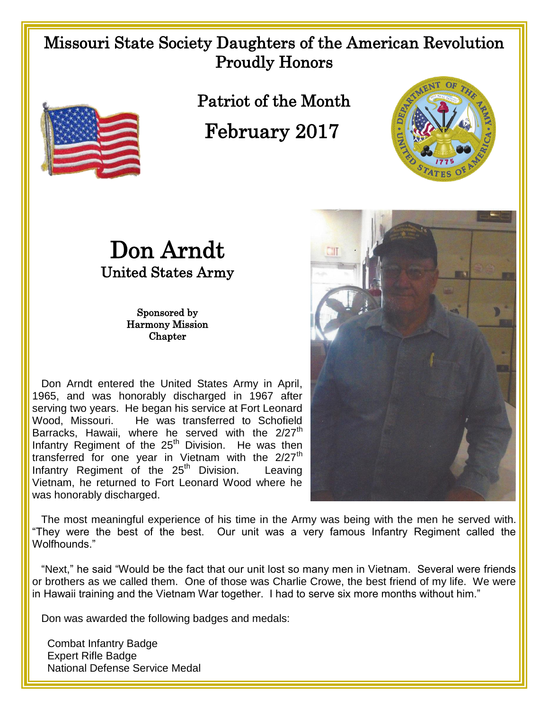## Missouri State Society Daughters of the American Revolution Proudly Honors



Patriot of the Month

February 2017





Sponsored by Harmony Mission **Chapter** 

 Don Arndt entered the United States Army in April, 1965, and was honorably discharged in 1967 after serving two years. He began his service at Fort Leonard Wood, Missouri. He was transferred to Schofield Barracks, Hawaii, where he served with the 2/27<sup>th</sup> Infantry Regiment of the  $25<sup>th</sup>$  Division. He was then transferred for one year in Vietnam with the  $2/27<sup>th</sup>$ Infantry Regiment of the  $25<sup>th</sup>$  Division. Leaving Vietnam, he returned to Fort Leonard Wood where he was honorably discharged.



 The most meaningful experience of his time in the Army was being with the men he served with. "They were the best of the best. Our unit was a very famous Infantry Regiment called the Wolfhounds."

 "Next," he said "Would be the fact that our unit lost so many men in Vietnam. Several were friends or brothers as we called them. One of those was Charlie Crowe, the best friend of my life. We were in Hawaii training and the Vietnam War together. I had to serve six more months without him."

Don was awarded the following badges and medals:

 Combat Infantry Badge Expert Rifle Badge National Defense Service Medal